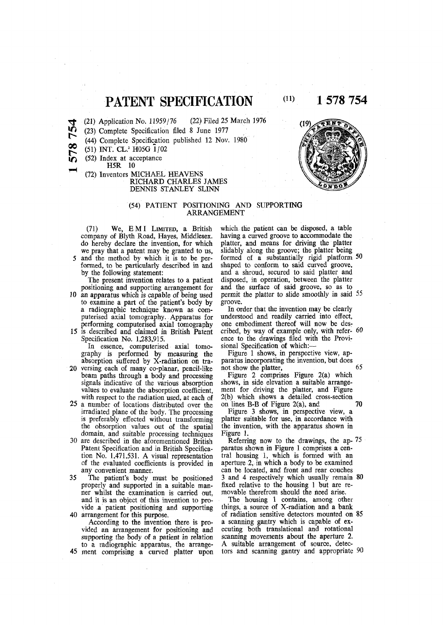**PATENT SPECIFICATION**

(21) Application No. 11959/76 (22) Filed 25 March 1976

I D (23) Complete Specification filed 8 June 1977

(44) Complete Specification published 12 Nov. 1980

**00**  (51) INT. CL.<sup>3</sup> H05G 1/02

(52) Index at acceptance

H<sub>5R</sub> 10

m

(72) Inventors MICHAEL HEAVENS RICHARD CHARLES JAMES DENNIS STANLEY SLINN

# (54) PATIENT POSITIONING AND SUPPORTING **ARRANGEMENT**

(71) We, EM I LIMITED, a British company of Blyth Road, Hayes, Middlesex, do hereby declare the invention, for which we pray that a patent may be granted to us, and the method by which it is to be performed, to be particularly described in and by the following statement:

The present invention relates to a patient positioning and supporting arrangement for 10 an apparatus which is capable of being used to examine a part of the patient's body by a radiographic technique known as computerised axial tomography. Apparatus for performing computerised axial tomography

15 is described and claimed in British Patent Specification No. 1,283,915. In essence, computerised axial tomo-

graphy is performed by measuring the absorption suffered by X-radiation on tra-

- 20 versing each of many co-planar, pencil-like beam paths through a body and processing signals indicative of the various absorption values to evaluate the absorption coefficient, with respect to the radiation used, at each of
- 25 a number of locations distributed over the irradiated plane of the body. The processing is preferably effected without transforming the obsorption values out of the spatial domain, and suitable processing techniques
- 30 are described in the aforementioned British Patent Specification and in British Specification No. 1,471,531. A visual representation of the evaluated coefficients is provided in any convenient manner.
- 35 The patient's body must be positioned properly and supported in a suitable manner whilst the examination is carried out, and it is an object of this invention to provide a patient positioning and supporting 40 arrangement for this purpose.
- According to the invention there is provided an arrangement for positioning and supporting the body of a patient in relation to a radiographic apparatus, the arrange-45 ment comprising a curved platter upon

which the patient can be disposed, a table having a curved groove to accommodate the platter, and means for driving the platter slidably along the groove; the platter being formed of a substantially rigid platform 50 shaped to conform to said curved groove, and a shroud, secured to said platter and disposed, in operation, between the platter and the surface of said groove, so as to permit the platter to slide smoothly in said 55 groove.

In order that the invention may be clearly understood and readily carried into effect, one embodiment thereof will now be described, by way of example only, with refer- 60 ence to the drawings filed with the Provisional Specification of which:—

Figure 1 shows, in perspective view, apparatus incorporating the invention, but does not show the platter, 65

Figure 2 comprises Figure 2(a) which shows, in side elevation a suitable arrangement for driving the platter, and Figure 2(b) which shows a detailed cross-section on lines B-B of Figure 2(a), and **70** 

Figure 3 shows, in perspective view, a platter suitable for use, in accordance with the invention, with the apparatus shown in Figure 1.

Referring now to the drawings, the ap- 75 paratus shown in Figure 1 comprises a central housing 1, which is formed with an aperture 2, in which a body to be examined can be located, and front and rear couches 3 and 4 respectively which usually remain 80 fixed relative to the housing 1 but are removable therefrom should the need arise.

The housing 1 contains, among other things, a source of X-radiation and a bank of radiation sensitive detectors mounted on 85 a scanning gantry which is capable of executing both translational and rotational scanning movements about the aperture 2. A suitable arrangement of source, detectors and scanning gantry and appropriate 90



 **(11) 1 578 754**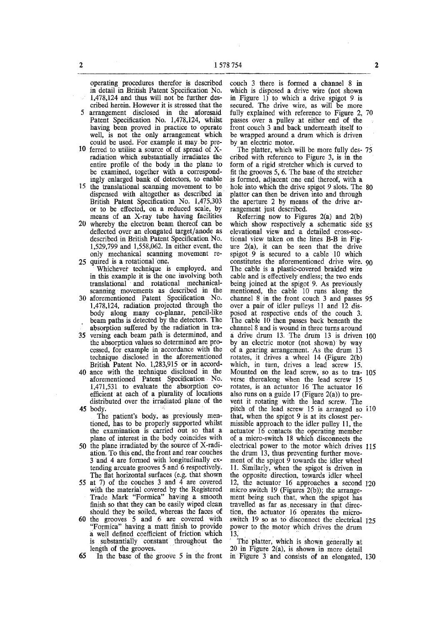operating procedures therefor is described in detail in British Patent Specification No.  $1,478,124$  and thus will not be further des-

- cribed herein. However it is stressed that the 5 arrangement disclosed in the aforesaid Patent Specification No. 1,478,124, whilst having been proved in practice to operate well, is not the only arrangement which could be used. For example it may be pre-
- 10 ferred to utilise a source of of spread of Xradiation which substantially irradiates the entire profile of the body in the plane to be examined, together with a correspondingly enlarged bank of detectors, to enable
- 15 the translational scanning movement to be dispensed with altogether as described in British Patent Specification No. 1,475,303 or to be effected, on a reduced scale, by means of an X-ray tube having facilities
- 20 whereby the electron beam thereof can be deflected over an elongated target/anode as described in British Patent Specification No. 1,529,799 and 1,558,062. In either event, the only mechanical scanning movement re-25 quired is a rotational one.
- Whichever technique is employed, and in this example it is the one involving both translational and rotational mechanicalscanning movements as described in the
- 30 aforementioned Patent Specification No. 1,478,124, radiation projected through the body along many co-planar, pencil-like beam paths is detected by the detectors. The absorption suffered by the radiation in tra-
- **35** versing each beam path is determined, and the absorption values so determined are processed, for example in accordance with the technique disclosed in the aforementioned British Patent No. 1,283,915 or in accord-
- 40 ance with the technique disclosed in the aforementioned Patent Specification No. 1,471,531 to evaluate the absorption coefficient at each of a plurality of locations distributed over the irradiated plane of the **45** body.
	- The patient's body, as previously mentioned, has to be properly supported whilst the examination is carried out so that a plane of interest in the body coincides with
- 50 the plane irradiated by the source of X-radiation. To this end, the front and rear couches 3 and 4 are formed with longitudinally extending arcuate grooves 5 and 6 respectively. The flat horizontal surfaces (e.g. that shown
- 55 at 7) of the couches  $3$  and  $4$  are covered with the material covered by the Registered Trade Mark "Formica" having a smooth finish so that they can be easily wiped clean should they be soiled, whereas the faces of
- 60 the grooves 5 and 6 are covered with "Formica" having a matt finish to provide a well defined coefficient of friction which is substantially constant throughout the length of the grooves.
- **65** In the base of the groove 5 in the front

couch 3 there is formed a channel 8 in which is disposed a drive wire (not shown in Figure 1) to which a drive spigot 9 is secured. The drive wire, as will be more fully explained with reference to Figure 2, 70 passes over a pulley at either end of the front couch 3 and back underneath itself to be wrapped around a drum which is driven by an electric motor.

The platter, which will be more fully des- 75 cribed with reference to Figure 3, is in the form of a rigid stretcher which is curved to fit the grooves 5, 6. The base of the stretcher is formed, adjacent one end thereof, with a hole into which the drive spigot 9 slots. The 80 platter can then be driven into and through the aperture 2 by means of the drive arrangement just described.

Referring now to Figures 2(a) and 2(b) which show respectively a schematic side 85 elevational view and a detailed cross-sectional view taken on the lines B-B in Figure  $2(a)$ , it can be seen that the drive spigot 9 is secured to a cable 10 which constitutes the aforementioned drive wire. 90 The cable is a plastic-covered braided wire cable and is effectively endless; the two ends being joined at the spigot 9. As previously mentioned, the cable 10 runs along the channel 8 in the front couch 3 and passes 95 over a pair of idler pulleys 11 and 12 disposed at respective ends of the couch 3. The cable  $10$  then passes back beneath the channel 8 and is wound in three turns around a drive drum 13. The drum 13 is driven 100 by an electric motor (not shown) by way of a gearing arrangement. As the drum 13 rotates, it drives a wheel 14 (Figure 2(b) which, in turn, drives a lead screw 15. Mounted on the lead screw, so as to tra- 105 verse therealong when the lead screw 15 rotates, is an actuator 16 The actuator 16 also runs on a guide  $17$  (Figure 2(a)) to prevent it rotating with the lead screw. The pitch of the lead screw 15 is arranged so 110 that, when the spigot 9 is at its closest permissible approach to the idler pulley 11, the actuator 16 contacts the operating member of a micro-switch 18 which disconnects the electrical power to the motor which drives 115 the drum 13, thus preventing further movement of the spigot  $\overline{9}$  towards the idler wheel 11, Similarly, when the spigot is driven in the opposite direction, towards idler wheel 12, the actuator 16 approaches a second 120 micro switch 19 (Figures 2(b)); the arrangement being such that, when the spigot has travelled as far as. necessary in that direction, the actuator 16 operates the microswitch 19 so as to disconnect the electrical 125 power to the motor which drives the drum  $13.$ 

The platter, which is shown generally at 20 in Figure 2(a), is shown in more detail in Figure 3 and consists of an elongated, 130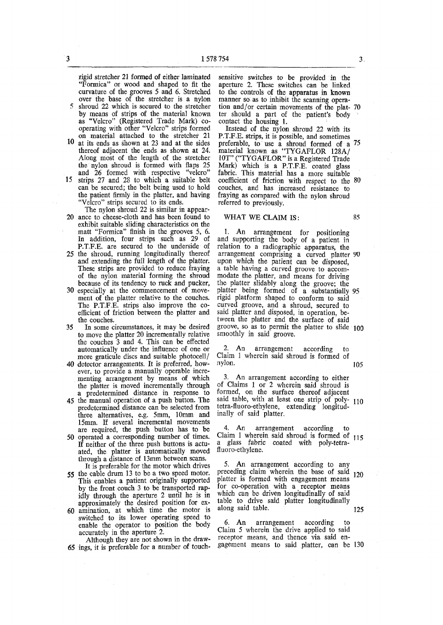rigid stretcher 21 formed of either laminated "Formica" or wood and shaped to fit the curvature of the grooves 5 and 6. Stretched over the base of the stretcher is a nylon 5 shroud 22 which is secured to the stretcher by means of strips of the material known as "Velcro" (Registered Trade Mark) cooperating with other "Velcro" strips formed

- on material attached to the stretcher 21 10 at its ends as shown at 23 and at the sides thereof adjacent the ends as shown at 24. Along most of the length of the stretcher the nylon shroud is formed with flaps 25 and 26 formed with respective "velcro"
- 15 strips 27 and 28 to which a suitable belt can be secured; the belt being used to hold the patient firmly in the platter, and having "Velcro" strips secured to its ends.
- The nylon shroud 22 is similar in appear-20 ance to cheese-cloth and has been found to exhibit suitable sliding characteristics on the matt "Formica" finish in the grooves 5, 6. In addition, four strips such as 29 of P.T.F.E. are secured to the underside of
- 25 the shroud, running longitudinally thereof and extending the full length of the platter. These strips are provided to reduce fraying of the nylon material forming the shroud because of its tendency to ruck and pucker,
- 30 especially at the commencement of movement of the platter relative to the couches. The P.T.F.E. strips also improve the coefficient of friction between the platter and the couches.
- 35 In some circumstances, it may be desired to move the platter 20 incrementally relative the couches 3 and 4. This can be effected automatically under the influence of one or more graticule discs and suitable photocell/
- 40 detector arrangements. It is preferred, however, to provide a manually operable incrementing arrangement by means of which the platter is moved incrementally through a predetermined distance in response to
- 45 the manual operation of a push button. The predetermined distance can be selected from three alternatives, e.g. 5mm, 10mm and 15mm. If several incremental movements are required, the push button has to be 50 operated a corresponding number of times.
- If neither of the three push buttons is actuated, the platter is automatically moved through a distance of 13mm between scans.
- It is preferable for the motor which drives 55 the cable drum 13 to be a two speed motor. This enables a patient originally supported by the front couch 3 to be transported rapidly through the aperture 2 until he is in approximately the desired position for ex-60 amination, at which time the motor is switched to its lower operating speed to enable the operator to position the body accurately in the aperture 2.

Although they are not shown in the draw-65 ings, it is preferable for a number of touchsensitive switches to be provided in the aperture 2. These switches can be linked to the controls of the apparatus in known manner so as to inhibit the scanning operation and/or certain movements of the plat- 70 ter should a part of the patient's body contact the housing 1.

Instead of the nylon shroud 22 with its P.T.F.E. strips, it is possible, and sometimes preferable, to use a shroud formed of a 75 material known as "TYGAFLOR 128A/ 10T" ("TYGAFLOR " is a Registered Trade Mark) which is a P.T.F.E. coated glass fabric. This material has a more suitable coefficient of friction with respect to the 80 couches, and has increased resistance to fraying as compared with the nylon shroud referred to previously.

# WHAT WE CLAIM IS: 85

1. An arrangement for positioning and supporting the body of a patient in relation to a radiographic apparatus, the arrangement comprising a curved platter 90 upon which the patient can be disposed, a table having a curved groove to accommodate the platter, and means for driving the platter slidably along the groove; the platter being formed of a substantially 95 rigid platform shaped to conform to said curved groove, and a shroud, secured to said platter and disposed, in operation, between the platter and the surface of said groove, so as to permit the platter to slide J00 smoothly in said groove.

An arrangement according to Claim 1 wherein said shroud is formed of nylon. 105

An arrangement according to either of Claims 1 or 2 wherein said shroud is formed, on the surface thereof adjacent said table, with at least one strip of poly- 110 tetra-fluoro-ethylene, extending longitudinally of said platter.

4. An arrangement according Claim 1 wherein said shroud is formed of 115 a glass fabric coated with poly-tetrafluoro-ethylene.

5. An arrangement according to any preceding claim wherein the base of said  $_{120}$ platter is formed with engagement means for co-operation with a receptor means which can be driven longitudinally of said table to drive said platter longitudinally along said table. 125

6. An arrangement according to Claim 5 wherein the drive applied to said receptor means, and thence via said engagement means to said platter, can be 130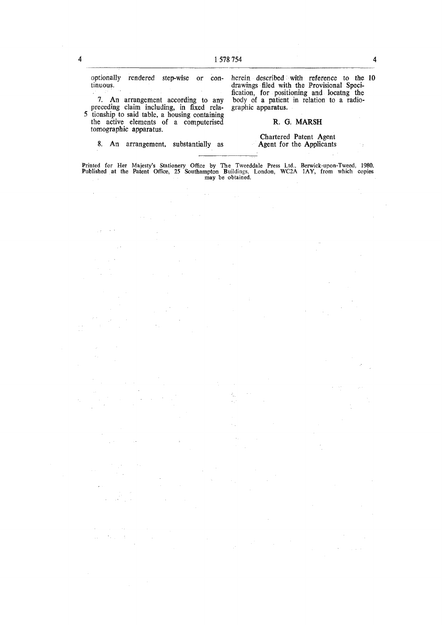optionally rendered step-wise or continuous.

2

 $\bar{\beta}$ 

 $\sim$   $\sim$  $\frac{1}{2}$ 

7. An arrangement according to any preceding claim including, in fixed rela-5 tionship to said table, a housing containing the active elements of a computerised tomographic apparatus.

8. An arrangement, substantially as

herein described with reference to the 10 drawings filed with the Provisional Specification, for positioning and locatng the body of a patient in relation to a radiographic apparatus.

# R. G. MARSH

### Chartered Patent Agent Agent for the Applicants

**Printed for Her Majesty's Stationery Office by The Tweeddale Press Ltd., Berwick-upon-Tweed, 1980. Published at the Patent Office, 25 Southampton Buildings, London, WC2A 1AY, from which copies may be obtained.** 

> $\dot{\epsilon}_\mu$  $\mathcal{L}_{\rm{in}}$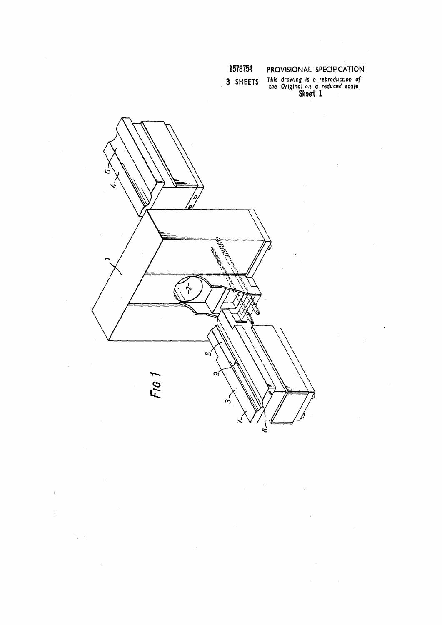# **1578754 PROVISIONAL SPECIFICATION**

**3 SHEETS** *This drawing Is a reproduction of* 

*the Original* on *a reduced scale*  SNGGI T



 $\bar{\bar{1}}$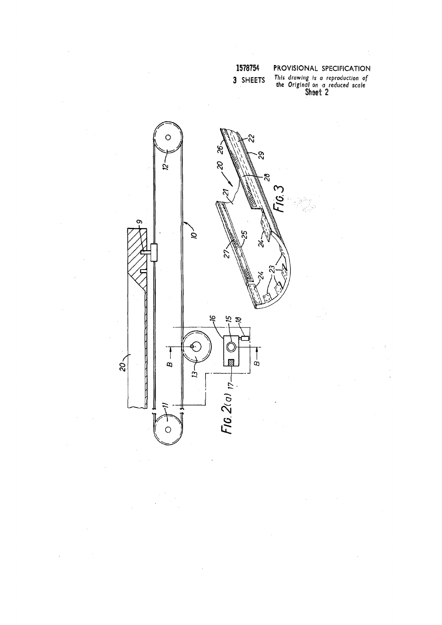| ö |  |
|---|--|
|   |  |

 $\bar{z}$ 

 $\hat{\mathcal{A}}$ 

**3 SHEETS ^rovv'**

 $\bar{\mathcal{A}}$ 

 $\hat{\boldsymbol{\epsilon}}$ 

**PROVISIONAL SPECIFICATION** 

**n ? Is***<sup>0</sup> reproduction of the Original on a reduced scale*  **Sheet 2** 



J.